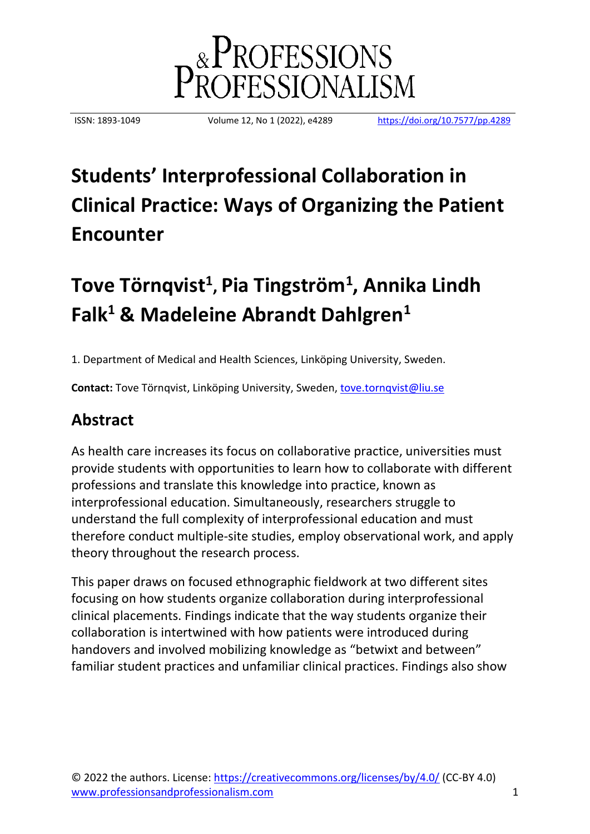

ISSN: 1893-1049 Volume 12, No 1 (2022), e4289 <https://doi.org/10.7577/pp.4289>

# **Students' Interprofessional Collaboration in Clinical Practice: Ways of Organizing the Patient Encounter**

# **Tove Törnqvist<sup>1</sup> , Pia Tingström<sup>1</sup> , Annika Lindh Falk<sup>1</sup> & Madeleine Abrandt Dahlgren<sup>1</sup>**

1. Department of Medical and Health Sciences, Linköping University, Sweden.

**Contact:** Tove Törnqvist, Linköping University, Sweden, [tove.tornqvist@liu.se](mailto:tove.tornqvist@liu.se)

# **Abstract**

As health care increases its focus on collaborative practice, universities must provide students with opportunities to learn how to collaborate with different professions and translate this knowledge into practice, known as interprofessional education. Simultaneously, researchers struggle to understand the full complexity of interprofessional education and must therefore conduct multiple-site studies, employ observational work, and apply theory throughout the research process.

This paper draws on focused ethnographic fieldwork at two different sites focusing on how students organize collaboration during interprofessional clinical placements. Findings indicate that the way students organize their collaboration is intertwined with how patients were introduced during handovers and involved mobilizing knowledge as "betwixt and between" familiar student practices and unfamiliar clinical practices. Findings also show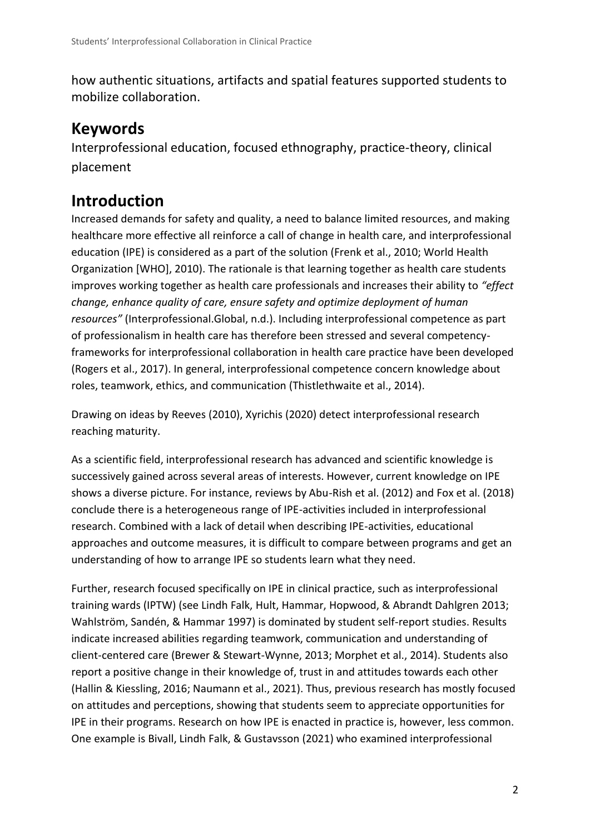how authentic situations, artifacts and spatial features supported students to mobilize collaboration.

# **Keywords**

Interprofessional education, focused ethnography, practice-theory, clinical placement

# **Introduction**

Increased demands for safety and quality, a need to balance limited resources, and making healthcare more effective all reinforce a call of change in health care, and interprofessional education (IPE) is considered as a part of the solution (Frenk et al., 2010; World Health Organization [WHO], 2010). The rationale is that learning together as health care students improves working together as health care professionals and increases their ability to *"effect change, enhance quality of care, ensure safety and optimize deployment of human resources"* (Interprofessional.Global, n.d.). Including interprofessional competence as part of professionalism in health care has therefore been stressed and several competencyframeworks for interprofessional collaboration in health care practice have been developed (Rogers et al., 2017). In general, interprofessional competence concern knowledge about roles, teamwork, ethics, and communication (Thistlethwaite et al., 2014).

Drawing on ideas by Reeves (2010), Xyrichis (2020) detect interprofessional research reaching maturity.

As a scientific field, interprofessional research has advanced and scientific knowledge is successively gained across several areas of interests. However, current knowledge on IPE shows a diverse picture. For instance, reviews by Abu-Rish et al. (2012) and Fox et al. (2018) conclude there is a heterogeneous range of IPE-activities included in interprofessional research. Combined with a lack of detail when describing IPE-activities, educational approaches and outcome measures, it is difficult to compare between programs and get an understanding of how to arrange IPE so students learn what they need.

Further, research focused specifically on IPE in clinical practice, such as interprofessional training wards (IPTW) (see Lindh Falk, Hult, Hammar, Hopwood, & Abrandt Dahlgren 2013; Wahlström, Sandén, & Hammar 1997) is dominated by student self-report studies. Results indicate increased abilities regarding teamwork, communication and understanding of client-centered care (Brewer & Stewart-Wynne, 2013; Morphet et al., 2014). Students also report a positive change in their knowledge of, trust in and attitudes towards each other (Hallin & Kiessling, 2016; Naumann et al., 2021). Thus, previous research has mostly focused on attitudes and perceptions, showing that students seem to appreciate opportunities for IPE in their programs. Research on how IPE is enacted in practice is, however, less common. One example is Bivall, Lindh Falk, & Gustavsson (2021) who examined interprofessional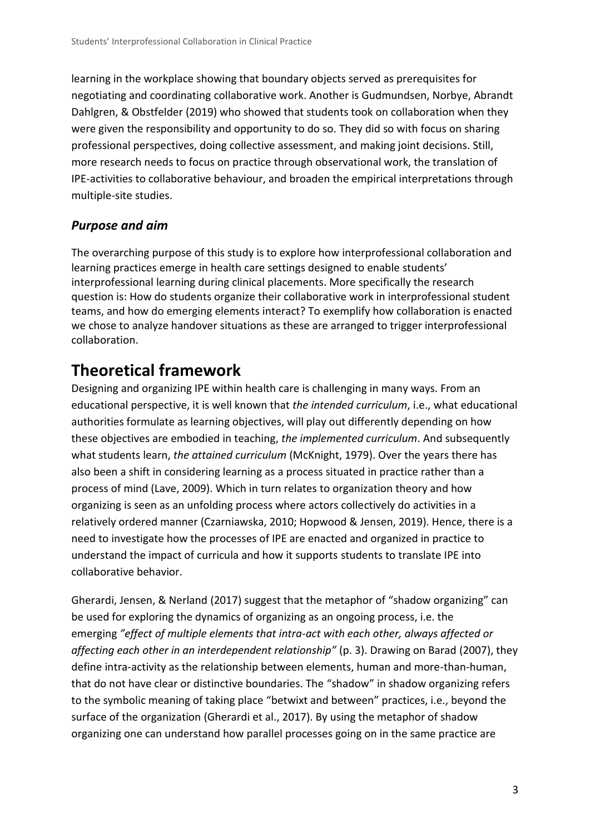learning in the workplace showing that boundary objects served as prerequisites for negotiating and coordinating collaborative work. Another is Gudmundsen, Norbye, Abrandt Dahlgren, & Obstfelder (2019) who showed that students took on collaboration when they were given the responsibility and opportunity to do so. They did so with focus on sharing professional perspectives, doing collective assessment, and making joint decisions. Still, more research needs to focus on practice through observational work, the translation of IPE-activities to collaborative behaviour, and broaden the empirical interpretations through multiple-site studies.

### *Purpose and aim*

The overarching purpose of this study is to explore how interprofessional collaboration and learning practices emerge in health care settings designed to enable students' interprofessional learning during clinical placements. More specifically the research question is: How do students organize their collaborative work in interprofessional student teams, and how do emerging elements interact? To exemplify how collaboration is enacted we chose to analyze handover situations as these are arranged to trigger interprofessional collaboration.

# **Theoretical framework**

Designing and organizing IPE within health care is challenging in many ways. From an educational perspective, it is well known that *the intended curriculum*, i.e., what educational authorities formulate as learning objectives, will play out differently depending on how these objectives are embodied in teaching, *the implemented curriculum*. And subsequently what students learn, *the attained curriculum* (McKnight, 1979). Over the years there has also been a shift in considering learning as a process situated in practice rather than a process of mind (Lave, 2009). Which in turn relates to organization theory and how organizing is seen as an unfolding process where actors collectively do activities in a relatively ordered manner (Czarniawska, 2010; Hopwood & Jensen, 2019). Hence, there is a need to investigate how the processes of IPE are enacted and organized in practice to understand the impact of curricula and how it supports students to translate IPE into collaborative behavior.

Gherardi, Jensen, & Nerland (2017) suggest that the metaphor of "shadow organizing" can be used for exploring the dynamics of organizing as an ongoing process, i.e. the emerging *"effect of multiple elements that intra-act with each other, always affected or affecting each other in an interdependent relationship"* (p. 3). Drawing on Barad (2007), they define intra-activity as the relationship between elements, human and more-than-human, that do not have clear or distinctive boundaries. The "shadow" in shadow organizing refers to the symbolic meaning of taking place "betwixt and between" practices, i.e., beyond the surface of the organization (Gherardi et al., 2017). By using the metaphor of shadow organizing one can understand how parallel processes going on in the same practice are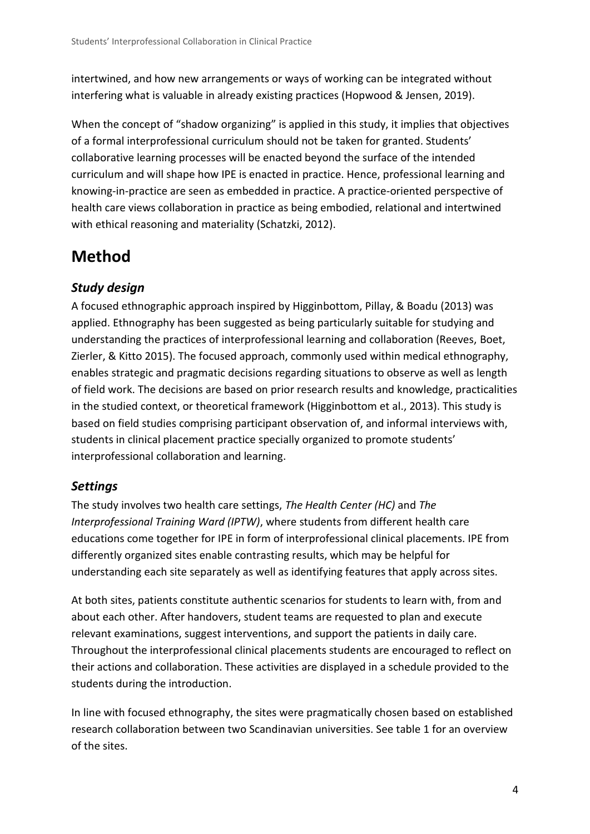intertwined, and how new arrangements or ways of working can be integrated without interfering what is valuable in already existing practices (Hopwood & Jensen, 2019).

When the concept of "shadow organizing" is applied in this study, it implies that objectives of a formal interprofessional curriculum should not be taken for granted. Students' collaborative learning processes will be enacted beyond the surface of the intended curriculum and will shape how IPE is enacted in practice. Hence, professional learning and knowing-in-practice are seen as embedded in practice. A practice-oriented perspective of health care views collaboration in practice as being embodied, relational and intertwined with ethical reasoning and materiality (Schatzki, 2012).

# **Method**

### *Study design*

A focused ethnographic approach inspired by Higginbottom, Pillay, & Boadu (2013) was applied. Ethnography has been suggested as being particularly suitable for studying and understanding the practices of interprofessional learning and collaboration (Reeves, Boet, Zierler, & Kitto 2015). The focused approach, commonly used within medical ethnography, enables strategic and pragmatic decisions regarding situations to observe as well as length of field work. The decisions are based on prior research results and knowledge, practicalities in the studied context, or theoretical framework (Higginbottom et al., 2013). This study is based on field studies comprising participant observation of, and informal interviews with, students in clinical placement practice specially organized to promote students' interprofessional collaboration and learning.

### *Settings*

The study involves two health care settings, *The Health Center (HC)* and *The Interprofessional Training Ward (IPTW)*, where students from different health care educations come together for IPE in form of interprofessional clinical placements. IPE from differently organized sites enable contrasting results, which may be helpful for understanding each site separately as well as identifying features that apply across sites.

At both sites, patients constitute authentic scenarios for students to learn with, from and about each other. After handovers, student teams are requested to plan and execute relevant examinations, suggest interventions, and support the patients in daily care. Throughout the interprofessional clinical placements students are encouraged to reflect on their actions and collaboration. These activities are displayed in a schedule provided to the students during the introduction.

In line with focused ethnography, the sites were pragmatically chosen based on established research collaboration between two Scandinavian universities. See table 1 for an overview of the sites.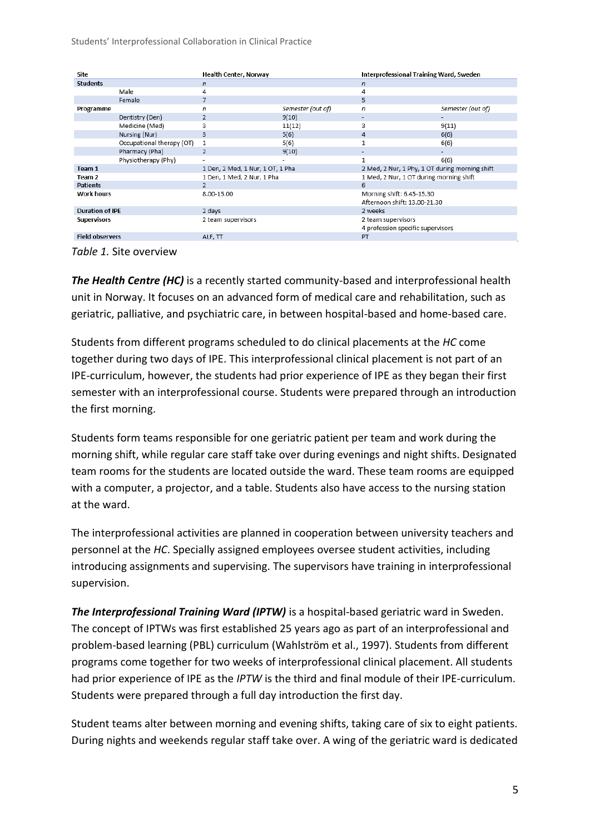Students' Interprofessional Collaboration in Clinical Practice

| Site                   |                           | Health Center, Norway            |                   | Interprofessional Training Ward, Sweden        |                   |
|------------------------|---------------------------|----------------------------------|-------------------|------------------------------------------------|-------------------|
| <b>Students</b>        |                           | n                                |                   | $\sqrt{n}$                                     |                   |
|                        | Male                      | 4                                |                   | 4                                              |                   |
|                        | Female                    | 7                                |                   | 5                                              |                   |
| Programme              |                           | n                                | Semester (out of) | n                                              | Semester (out of) |
|                        | Dentistry (Den)           | 2                                | 9(10)             |                                                |                   |
|                        | Medicine (Med)            | 3                                | 11(12)            | 3                                              | 9(11)             |
|                        | Nursing (Nur)             | 3                                | 5(6)              | 4                                              | 6(6)              |
|                        | Occupational therapy (OT) | 1                                | 5(6)              |                                                | 6(6)              |
|                        | Pharmacy (Pha)            | $\overline{2}$                   | 9(10)             |                                                |                   |
|                        | Physiotherapy (Phy)       |                                  |                   |                                                | 6(6)              |
| Team 1                 |                           | 1 Den, 2 Med, 1 Nur, 1 OT, 1 Pha |                   | 2 Med, 2 Nur, 1 Phy, 1 OT during morning shift |                   |
| Team 2                 |                           | 1 Den, 1 Med, 2 Nur, 1 Pha       |                   | 1 Med, 2 Nur, 1 OT during morning shift        |                   |
| <b>Patients</b>        |                           | $\overline{2}$                   |                   | 6                                              |                   |
| <b>Work hours</b>      |                           | 8.00-15.00                       |                   | Morning shift: 6.45-15.30                      |                   |
|                        |                           |                                  |                   | Afternoon shift: 13.00-21.30                   |                   |
| <b>Duration of IPE</b> |                           | 2 days                           |                   | 2 weeks                                        |                   |
| <b>Supervisors</b>     |                           | 2 team supervisors               |                   | 2 team supervisors                             |                   |
|                        |                           |                                  |                   | 4 profession specific supervisors              |                   |
| <b>Field observers</b> |                           | ALF, TT                          |                   | PT                                             |                   |
|                        |                           |                                  |                   |                                                |                   |

*Table 1.* Site overview

*The Health Centre (HC)* is a recently started community-based and interprofessional health unit in Norway. It focuses on an advanced form of medical care and rehabilitation, such as geriatric, palliative, and psychiatric care, in between hospital-based and home-based care.

Students from different programs scheduled to do clinical placements at the *HC* come together during two days of IPE. This interprofessional clinical placement is not part of an IPE-curriculum, however, the students had prior experience of IPE as they began their first semester with an interprofessional course. Students were prepared through an introduction the first morning.

Students form teams responsible for one geriatric patient per team and work during the morning shift, while regular care staff take over during evenings and night shifts. Designated team rooms for the students are located outside the ward. These team rooms are equipped with a computer, a projector, and a table. Students also have access to the nursing station at the ward.

The interprofessional activities are planned in cooperation between university teachers and personnel at the *HC*. Specially assigned employees oversee student activities, including introducing assignments and supervising. The supervisors have training in interprofessional supervision.

*The Interprofessional Training Ward (IPTW)* is a hospital-based geriatric ward in Sweden. The concept of IPTWs was first established 25 years ago as part of an interprofessional and problem-based learning (PBL) curriculum (Wahlström et al., 1997). Students from different programs come together for two weeks of interprofessional clinical placement. All students had prior experience of IPE as the *IPTW* is the third and final module of their IPE-curriculum. Students were prepared through a full day introduction the first day.

Student teams alter between morning and evening shifts, taking care of six to eight patients. During nights and weekends regular staff take over. A wing of the geriatric ward is dedicated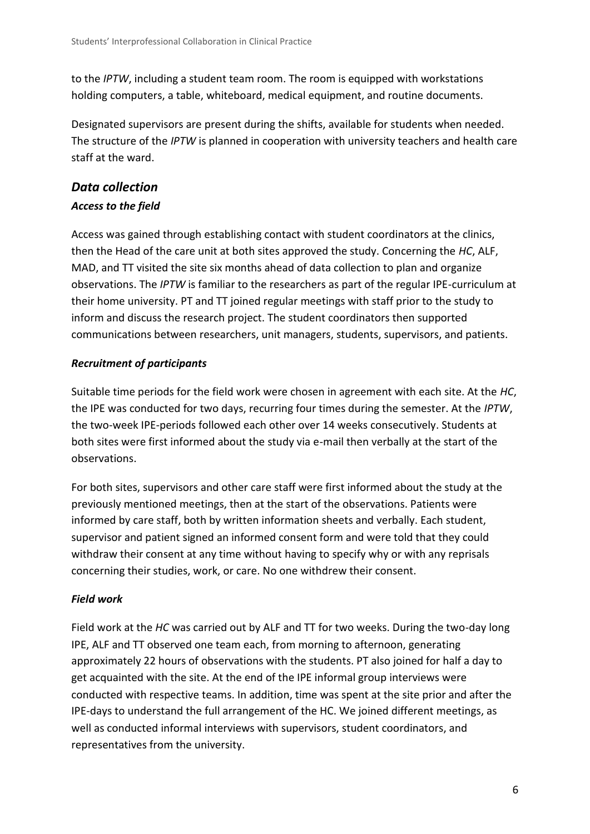to the *IPTW*, including a student team room. The room is equipped with workstations holding computers, a table, whiteboard, medical equipment, and routine documents.

Designated supervisors are present during the shifts, available for students when needed. The structure of the *IPTW* is planned in cooperation with university teachers and health care staff at the ward.

### *Data collection Access to the field*

Access was gained through establishing contact with student coordinators at the clinics, then the Head of the care unit at both sites approved the study. Concerning the *HC*, ALF, MAD, and TT visited the site six months ahead of data collection to plan and organize observations. The *IPTW* is familiar to the researchers as part of the regular IPE-curriculum at their home university. PT and TT joined regular meetings with staff prior to the study to inform and discuss the research project. The student coordinators then supported communications between researchers, unit managers, students, supervisors, and patients.

### *Recruitment of participants*

Suitable time periods for the field work were chosen in agreement with each site. At the *HC*, the IPE was conducted for two days, recurring four times during the semester. At the *IPTW*, the two-week IPE-periods followed each other over 14 weeks consecutively. Students at both sites were first informed about the study via e-mail then verbally at the start of the observations.

For both sites, supervisors and other care staff were first informed about the study at the previously mentioned meetings, then at the start of the observations. Patients were informed by care staff, both by written information sheets and verbally. Each student, supervisor and patient signed an informed consent form and were told that they could withdraw their consent at any time without having to specify why or with any reprisals concerning their studies, work, or care. No one withdrew their consent.

#### *Field work*

Field work at the *HC* was carried out by ALF and TT for two weeks. During the two-day long IPE, ALF and TT observed one team each, from morning to afternoon, generating approximately 22 hours of observations with the students. PT also joined for half a day to get acquainted with the site. At the end of the IPE informal group interviews were conducted with respective teams. In addition, time was spent at the site prior and after the IPE-days to understand the full arrangement of the HC. We joined different meetings, as well as conducted informal interviews with supervisors, student coordinators, and representatives from the university.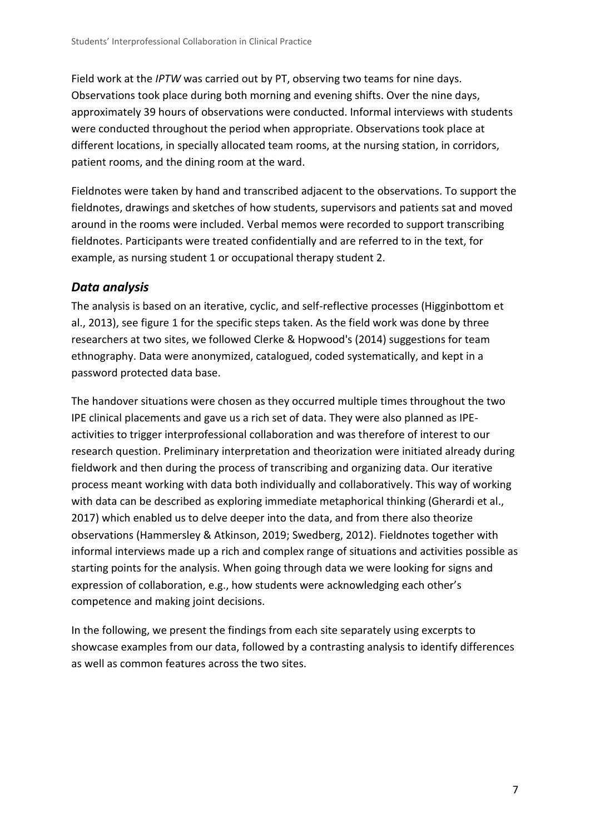Field work at the *IPTW* was carried out by PT, observing two teams for nine days. Observations took place during both morning and evening shifts. Over the nine days, approximately 39 hours of observations were conducted. Informal interviews with students were conducted throughout the period when appropriate. Observations took place at different locations, in specially allocated team rooms, at the nursing station, in corridors, patient rooms, and the dining room at the ward.

Fieldnotes were taken by hand and transcribed adjacent to the observations. To support the fieldnotes, drawings and sketches of how students, supervisors and patients sat and moved around in the rooms were included. Verbal memos were recorded to support transcribing fieldnotes. Participants were treated confidentially and are referred to in the text, for example, as nursing student 1 or occupational therapy student 2.

### *Data analysis*

The analysis is based on an iterative, cyclic, and self-reflective processes (Higginbottom et al., 2013), see figure 1 for the specific steps taken. As the field work was done by three researchers at two sites, we followed Clerke & Hopwood's (2014) suggestions for team ethnography. Data were anonymized, catalogued, coded systematically, and kept in a password protected data base.

The handover situations were chosen as they occurred multiple times throughout the two IPE clinical placements and gave us a rich set of data. They were also planned as IPEactivities to trigger interprofessional collaboration and was therefore of interest to our research question. Preliminary interpretation and theorization were initiated already during fieldwork and then during the process of transcribing and organizing data. Our iterative process meant working with data both individually and collaboratively. This way of working with data can be described as exploring immediate metaphorical thinking (Gherardi et al., 2017) which enabled us to delve deeper into the data, and from there also theorize observations (Hammersley & Atkinson, 2019; Swedberg, 2012). Fieldnotes together with informal interviews made up a rich and complex range of situations and activities possible as starting points for the analysis. When going through data we were looking for signs and expression of collaboration, e.g., how students were acknowledging each other's competence and making joint decisions.

In the following, we present the findings from each site separately using excerpts to showcase examples from our data, followed by a contrasting analysis to identify differences as well as common features across the two sites.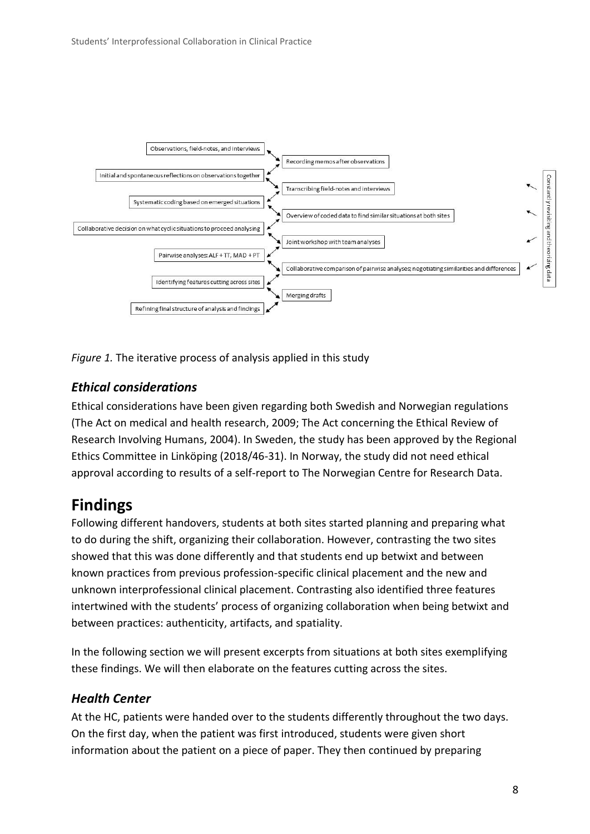

*Figure 1.* The iterative process of analysis applied in this study

### *Ethical considerations*

Ethical considerations have been given regarding both Swedish and Norwegian regulations (The Act on medical and health research, 2009; The Act concerning the Ethical Review of Research Involving Humans, 2004). In Sweden, the study has been approved by the Regional Ethics Committee in Linköping (2018/46-31). In Norway, the study did not need ethical approval according to results of a self-report to The Norwegian Centre for Research Data.

# **Findings**

Following different handovers, students at both sites started planning and preparing what to do during the shift, organizing their collaboration. However, contrasting the two sites showed that this was done differently and that students end up betwixt and between known practices from previous profession-specific clinical placement and the new and unknown interprofessional clinical placement. Contrasting also identified three features intertwined with the students' process of organizing collaboration when being betwixt and between practices: authenticity, artifacts, and spatiality.

In the following section we will present excerpts from situations at both sites exemplifying these findings. We will then elaborate on the features cutting across the sites.

### *Health Center*

At the HC, patients were handed over to the students differently throughout the two days. On the first day, when the patient was first introduced, students were given short information about the patient on a piece of paper. They then continued by preparing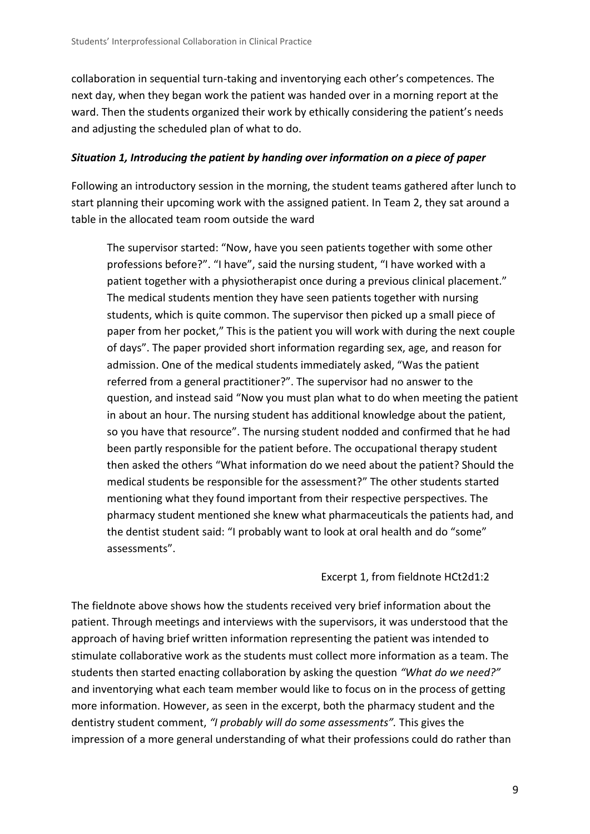collaboration in sequential turn-taking and inventorying each other's competences. The next day, when they began work the patient was handed over in a morning report at the ward. Then the students organized their work by ethically considering the patient's needs and adjusting the scheduled plan of what to do.

#### *Situation 1, Introducing the patient by handing over information on a piece of paper*

Following an introductory session in the morning, the student teams gathered after lunch to start planning their upcoming work with the assigned patient. In Team 2, they sat around a table in the allocated team room outside the ward

The supervisor started: "Now, have you seen patients together with some other professions before?". "I have", said the nursing student, "I have worked with a patient together with a physiotherapist once during a previous clinical placement." The medical students mention they have seen patients together with nursing students, which is quite common. The supervisor then picked up a small piece of paper from her pocket," This is the patient you will work with during the next couple of days". The paper provided short information regarding sex, age, and reason for admission. One of the medical students immediately asked, "Was the patient referred from a general practitioner?". The supervisor had no answer to the question, and instead said "Now you must plan what to do when meeting the patient in about an hour. The nursing student has additional knowledge about the patient, so you have that resource". The nursing student nodded and confirmed that he had been partly responsible for the patient before. The occupational therapy student then asked the others "What information do we need about the patient? Should the medical students be responsible for the assessment?" The other students started mentioning what they found important from their respective perspectives. The pharmacy student mentioned she knew what pharmaceuticals the patients had, and the dentist student said: "I probably want to look at oral health and do "some" assessments".

#### Excerpt 1, from fieldnote HCt2d1:2

The fieldnote above shows how the students received very brief information about the patient. Through meetings and interviews with the supervisors, it was understood that the approach of having brief written information representing the patient was intended to stimulate collaborative work as the students must collect more information as a team. The students then started enacting collaboration by asking the question *"What do we need?"* and inventorying what each team member would like to focus on in the process of getting more information. However, as seen in the excerpt, both the pharmacy student and the dentistry student comment, *"I probably will do some assessments".* This gives the impression of a more general understanding of what their professions could do rather than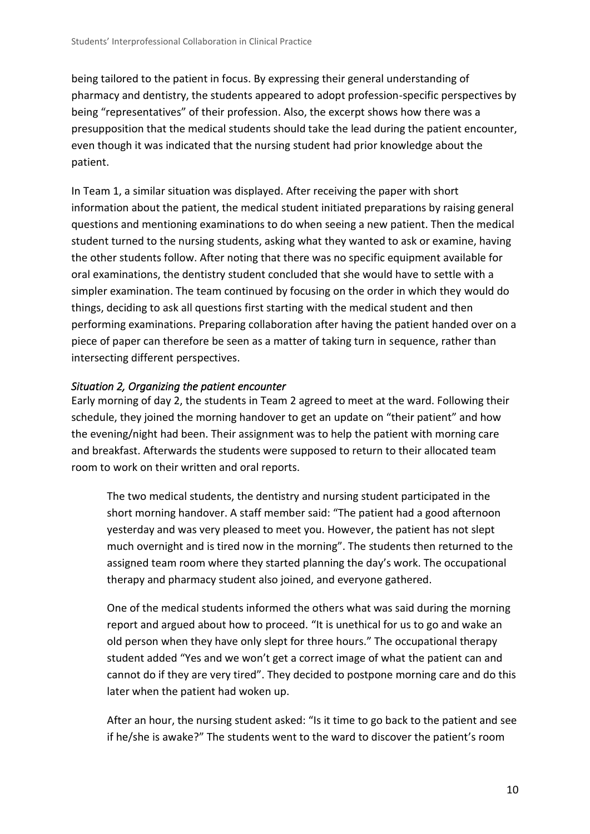being tailored to the patient in focus. By expressing their general understanding of pharmacy and dentistry, the students appeared to adopt profession-specific perspectives by being "representatives" of their profession. Also, the excerpt shows how there was a presupposition that the medical students should take the lead during the patient encounter, even though it was indicated that the nursing student had prior knowledge about the patient.

In Team 1, a similar situation was displayed. After receiving the paper with short information about the patient, the medical student initiated preparations by raising general questions and mentioning examinations to do when seeing a new patient. Then the medical student turned to the nursing students, asking what they wanted to ask or examine, having the other students follow. After noting that there was no specific equipment available for oral examinations, the dentistry student concluded that she would have to settle with a simpler examination. The team continued by focusing on the order in which they would do things, deciding to ask all questions first starting with the medical student and then performing examinations. Preparing collaboration after having the patient handed over on a piece of paper can therefore be seen as a matter of taking turn in sequence, rather than intersecting different perspectives.

#### *Situation 2, Organizing the patient encounter*

Early morning of day 2, the students in Team 2 agreed to meet at the ward. Following their schedule, they joined the morning handover to get an update on "their patient" and how the evening/night had been. Their assignment was to help the patient with morning care and breakfast. Afterwards the students were supposed to return to their allocated team room to work on their written and oral reports.

The two medical students, the dentistry and nursing student participated in the short morning handover. A staff member said: "The patient had a good afternoon yesterday and was very pleased to meet you. However, the patient has not slept much overnight and is tired now in the morning". The students then returned to the assigned team room where they started planning the day's work. The occupational therapy and pharmacy student also joined, and everyone gathered.

One of the medical students informed the others what was said during the morning report and argued about how to proceed. "It is unethical for us to go and wake an old person when they have only slept for three hours." The occupational therapy student added "Yes and we won't get a correct image of what the patient can and cannot do if they are very tired". They decided to postpone morning care and do this later when the patient had woken up.

After an hour, the nursing student asked: "Is it time to go back to the patient and see if he/she is awake?" The students went to the ward to discover the patient's room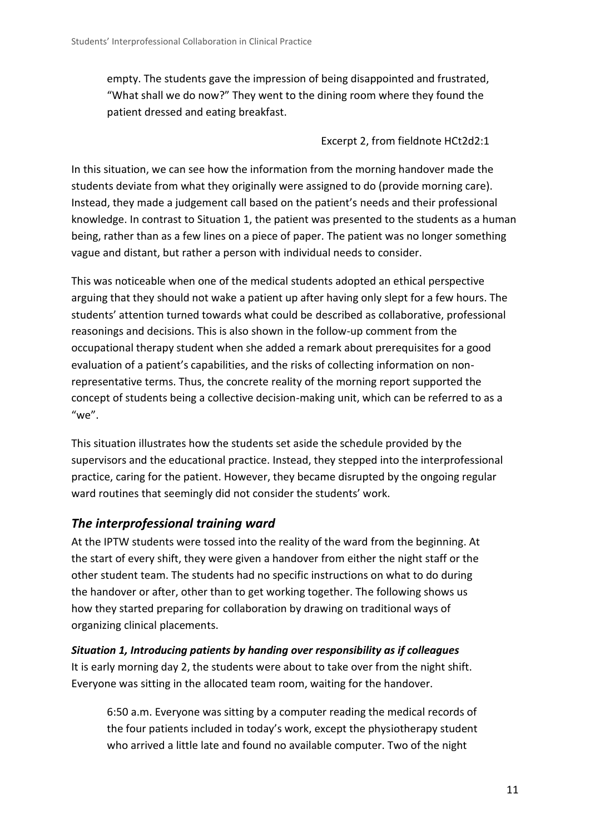empty. The students gave the impression of being disappointed and frustrated, "What shall we do now?" They went to the dining room where they found the patient dressed and eating breakfast.

### Excerpt 2, from fieldnote HCt2d2:1

In this situation, we can see how the information from the morning handover made the students deviate from what they originally were assigned to do (provide morning care). Instead, they made a judgement call based on the patient's needs and their professional knowledge. In contrast to Situation 1, the patient was presented to the students as a human being, rather than as a few lines on a piece of paper. The patient was no longer something vague and distant, but rather a person with individual needs to consider.

This was noticeable when one of the medical students adopted an ethical perspective arguing that they should not wake a patient up after having only slept for a few hours. The students' attention turned towards what could be described as collaborative, professional reasonings and decisions. This is also shown in the follow-up comment from the occupational therapy student when she added a remark about prerequisites for a good evaluation of a patient's capabilities, and the risks of collecting information on nonrepresentative terms. Thus, the concrete reality of the morning report supported the concept of students being a collective decision-making unit, which can be referred to as a " $we$ ".

This situation illustrates how the students set aside the schedule provided by the supervisors and the educational practice. Instead, they stepped into the interprofessional practice, caring for the patient. However, they became disrupted by the ongoing regular ward routines that seemingly did not consider the students' work.

### *The interprofessional training ward*

At the IPTW students were tossed into the reality of the ward from the beginning. At the start of every shift, they were given a handover from either the night staff or the other student team. The students had no specific instructions on what to do during the handover or after, other than to get working together. The following shows us how they started preparing for collaboration by drawing on traditional ways of organizing clinical placements.

*Situation 1, Introducing patients by handing over responsibility as if colleagues* It is early morning day 2, the students were about to take over from the night shift. Everyone was sitting in the allocated team room, waiting for the handover.

6:50 a.m. Everyone was sitting by a computer reading the medical records of the four patients included in today's work, except the physiotherapy student who arrived a little late and found no available computer. Two of the night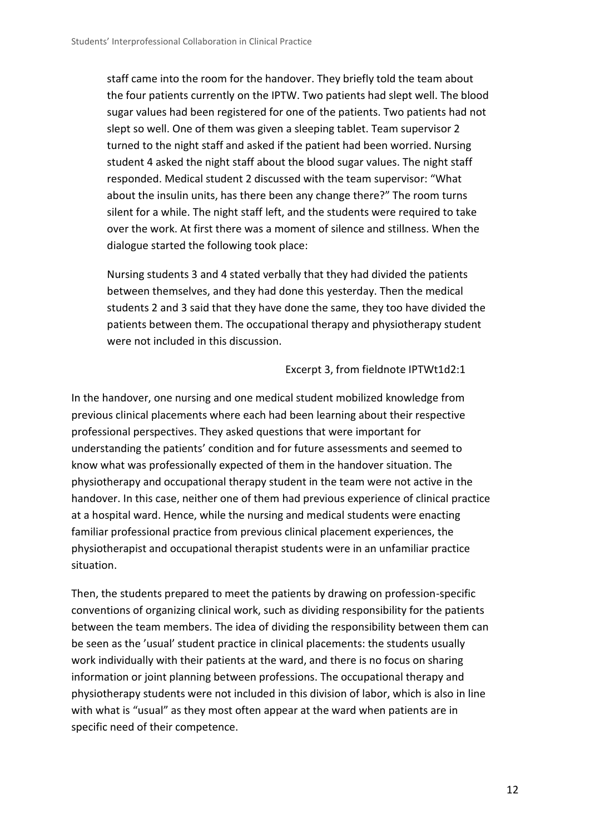staff came into the room for the handover. They briefly told the team about the four patients currently on the IPTW. Two patients had slept well. The blood sugar values had been registered for one of the patients. Two patients had not slept so well. One of them was given a sleeping tablet. Team supervisor 2 turned to the night staff and asked if the patient had been worried. Nursing student 4 asked the night staff about the blood sugar values. The night staff responded. Medical student 2 discussed with the team supervisor: "What about the insulin units, has there been any change there?" The room turns silent for a while. The night staff left, and the students were required to take over the work. At first there was a moment of silence and stillness. When the dialogue started the following took place:

Nursing students 3 and 4 stated verbally that they had divided the patients between themselves, and they had done this yesterday. Then the medical students 2 and 3 said that they have done the same, they too have divided the patients between them. The occupational therapy and physiotherapy student were not included in this discussion.

#### Excerpt 3, from fieldnote IPTWt1d2:1

In the handover, one nursing and one medical student mobilized knowledge from previous clinical placements where each had been learning about their respective professional perspectives. They asked questions that were important for understanding the patients' condition and for future assessments and seemed to know what was professionally expected of them in the handover situation. The physiotherapy and occupational therapy student in the team were not active in the handover. In this case, neither one of them had previous experience of clinical practice at a hospital ward. Hence, while the nursing and medical students were enacting familiar professional practice from previous clinical placement experiences, the physiotherapist and occupational therapist students were in an unfamiliar practice situation.

Then, the students prepared to meet the patients by drawing on profession-specific conventions of organizing clinical work, such as dividing responsibility for the patients between the team members. The idea of dividing the responsibility between them can be seen as the 'usual' student practice in clinical placements: the students usually work individually with their patients at the ward, and there is no focus on sharing information or joint planning between professions. The occupational therapy and physiotherapy students were not included in this division of labor, which is also in line with what is "usual" as they most often appear at the ward when patients are in specific need of their competence.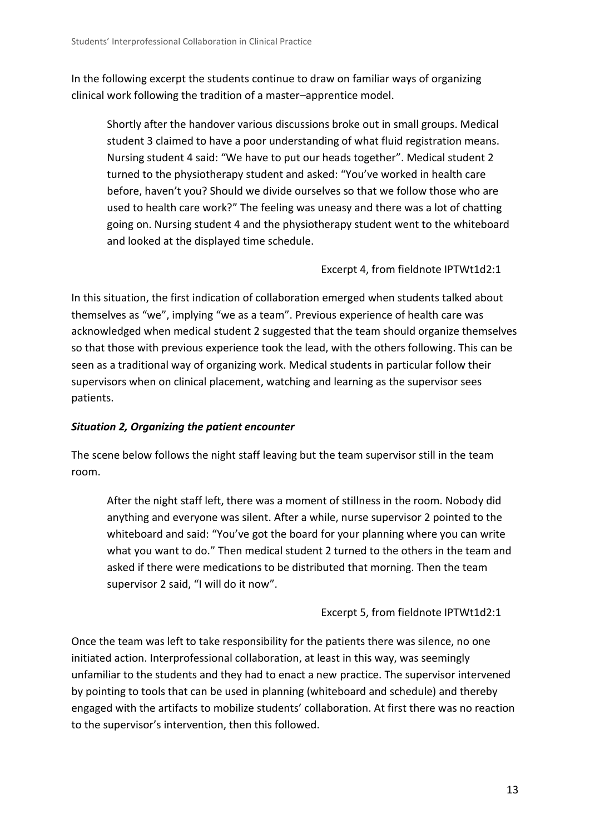In the following excerpt the students continue to draw on familiar ways of organizing clinical work following the tradition of a master–apprentice model.

Shortly after the handover various discussions broke out in small groups. Medical student 3 claimed to have a poor understanding of what fluid registration means. Nursing student 4 said: "We have to put our heads together". Medical student 2 turned to the physiotherapy student and asked: "You've worked in health care before, haven't you? Should we divide ourselves so that we follow those who are used to health care work?" The feeling was uneasy and there was a lot of chatting going on. Nursing student 4 and the physiotherapy student went to the whiteboard and looked at the displayed time schedule.

Excerpt 4, from fieldnote IPTWt1d2:1

In this situation, the first indication of collaboration emerged when students talked about themselves as "we", implying "we as a team". Previous experience of health care was acknowledged when medical student 2 suggested that the team should organize themselves so that those with previous experience took the lead, with the others following. This can be seen as a traditional way of organizing work. Medical students in particular follow their supervisors when on clinical placement, watching and learning as the supervisor sees patients.

### *Situation 2, Organizing the patient encounter*

The scene below follows the night staff leaving but the team supervisor still in the team room.

After the night staff left, there was a moment of stillness in the room. Nobody did anything and everyone was silent. After a while, nurse supervisor 2 pointed to the whiteboard and said: "You've got the board for your planning where you can write what you want to do." Then medical student 2 turned to the others in the team and asked if there were medications to be distributed that morning. Then the team supervisor 2 said, "I will do it now".

Excerpt 5, from fieldnote IPTWt1d2:1

Once the team was left to take responsibility for the patients there was silence, no one initiated action. Interprofessional collaboration, at least in this way, was seemingly unfamiliar to the students and they had to enact a new practice. The supervisor intervened by pointing to tools that can be used in planning (whiteboard and schedule) and thereby engaged with the artifacts to mobilize students' collaboration. At first there was no reaction to the supervisor's intervention, then this followed.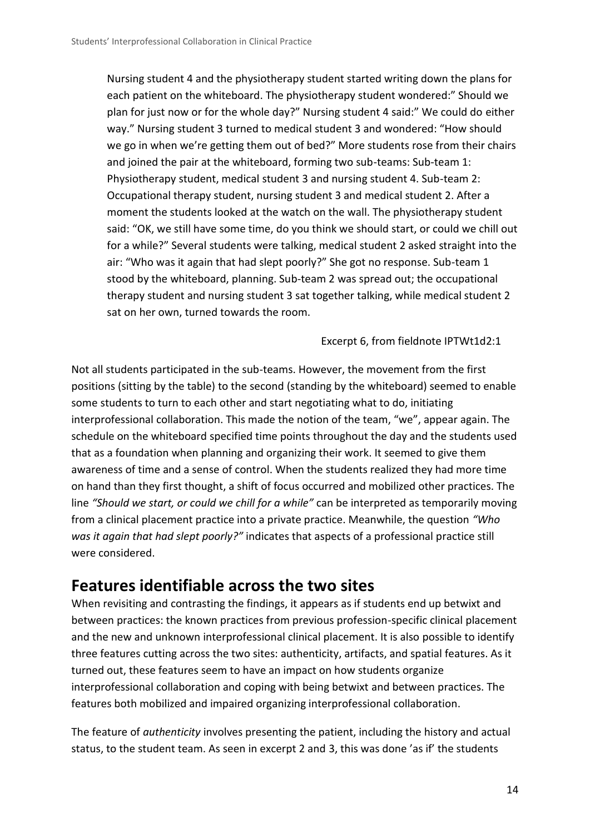Nursing student 4 and the physiotherapy student started writing down the plans for each patient on the whiteboard. The physiotherapy student wondered:" Should we plan for just now or for the whole day?" Nursing student 4 said:" We could do either way." Nursing student 3 turned to medical student 3 and wondered: "How should we go in when we're getting them out of bed?" More students rose from their chairs and joined the pair at the whiteboard, forming two sub-teams: Sub-team 1: Physiotherapy student, medical student 3 and nursing student 4. Sub-team 2: Occupational therapy student, nursing student 3 and medical student 2. After a moment the students looked at the watch on the wall. The physiotherapy student said: "OK, we still have some time, do you think we should start, or could we chill out for a while?" Several students were talking, medical student 2 asked straight into the air: "Who was it again that had slept poorly?" She got no response. Sub-team 1 stood by the whiteboard, planning. Sub-team 2 was spread out; the occupational therapy student and nursing student 3 sat together talking, while medical student 2 sat on her own, turned towards the room.

Excerpt 6, from fieldnote IPTWt1d2:1

Not all students participated in the sub-teams. However, the movement from the first positions (sitting by the table) to the second (standing by the whiteboard) seemed to enable some students to turn to each other and start negotiating what to do, initiating interprofessional collaboration. This made the notion of the team, "we", appear again. The schedule on the whiteboard specified time points throughout the day and the students used that as a foundation when planning and organizing their work. It seemed to give them awareness of time and a sense of control. When the students realized they had more time on hand than they first thought, a shift of focus occurred and mobilized other practices. The line *"Should we start, or could we chill for a while"* can be interpreted as temporarily moving from a clinical placement practice into a private practice. Meanwhile, the question *"Who was it again that had slept poorly?"* indicates that aspects of a professional practice still were considered.

### **Features identifiable across the two sites**

When revisiting and contrasting the findings, it appears as if students end up betwixt and between practices: the known practices from previous profession-specific clinical placement and the new and unknown interprofessional clinical placement. It is also possible to identify three features cutting across the two sites: authenticity, artifacts, and spatial features. As it turned out, these features seem to have an impact on how students organize interprofessional collaboration and coping with being betwixt and between practices. The features both mobilized and impaired organizing interprofessional collaboration.

The feature of *authenticity* involves presenting the patient, including the history and actual status, to the student team. As seen in excerpt 2 and 3, this was done 'as if' the students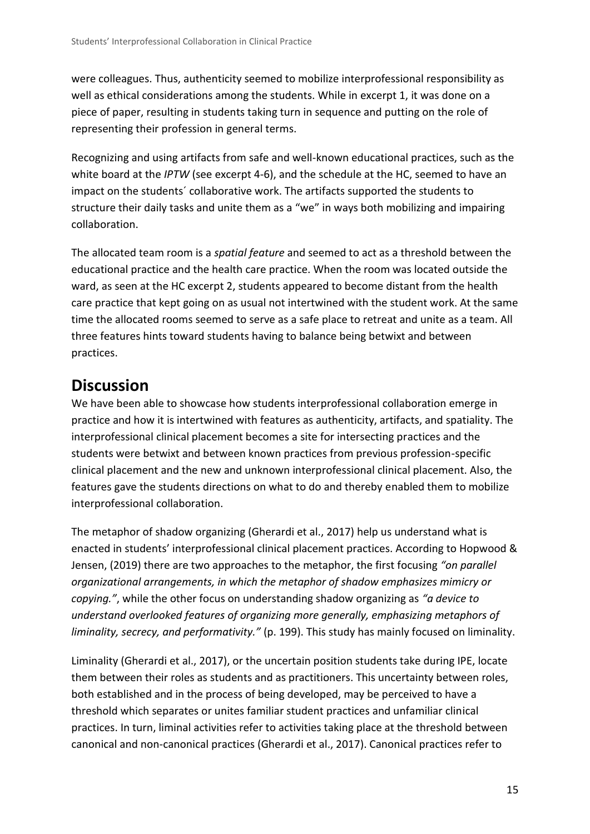were colleagues. Thus, authenticity seemed to mobilize interprofessional responsibility as well as ethical considerations among the students. While in excerpt 1, it was done on a piece of paper, resulting in students taking turn in sequence and putting on the role of representing their profession in general terms.

Recognizing and using artifacts from safe and well-known educational practices, such as the white board at the *IPTW* (see excerpt 4-6), and the schedule at the HC, seemed to have an impact on the students´ collaborative work. The artifacts supported the students to structure their daily tasks and unite them as a "we" in ways both mobilizing and impairing collaboration.

The allocated team room is a *spatial feature* and seemed to act as a threshold between the educational practice and the health care practice. When the room was located outside the ward, as seen at the HC excerpt 2, students appeared to become distant from the health care practice that kept going on as usual not intertwined with the student work. At the same time the allocated rooms seemed to serve as a safe place to retreat and unite as a team. All three features hints toward students having to balance being betwixt and between practices.

# **Discussion**

We have been able to showcase how students interprofessional collaboration emerge in practice and how it is intertwined with features as authenticity, artifacts, and spatiality. The interprofessional clinical placement becomes a site for intersecting practices and the students were betwixt and between known practices from previous profession-specific clinical placement and the new and unknown interprofessional clinical placement. Also, the features gave the students directions on what to do and thereby enabled them to mobilize interprofessional collaboration.

The metaphor of shadow organizing (Gherardi et al., 2017) help us understand what is enacted in students' interprofessional clinical placement practices. According to Hopwood & Jensen, (2019) there are two approaches to the metaphor, the first focusing *"on parallel organizational arrangements, in which the metaphor of shadow emphasizes mimicry or copying."*, while the other focus on understanding shadow organizing as *"a device to understand overlooked features of organizing more generally, emphasizing metaphors of liminality, secrecy, and performativity."* (p. 199). This study has mainly focused on liminality.

Liminality (Gherardi et al., 2017), or the uncertain position students take during IPE, locate them between their roles as students and as practitioners. This uncertainty between roles, both established and in the process of being developed, may be perceived to have a threshold which separates or unites familiar student practices and unfamiliar clinical practices. In turn, liminal activities refer to activities taking place at the threshold between canonical and non-canonical practices (Gherardi et al., 2017). Canonical practices refer to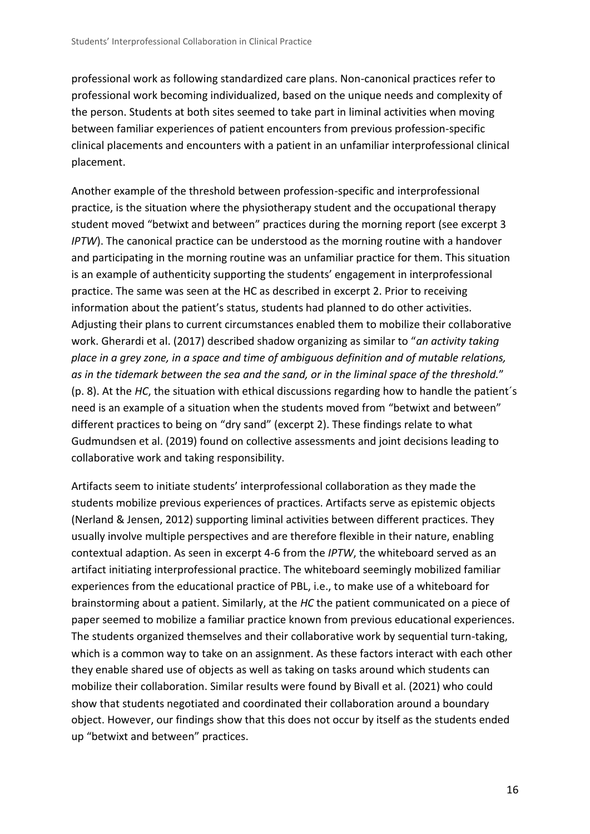professional work as following standardized care plans. Non-canonical practices refer to professional work becoming individualized, based on the unique needs and complexity of the person. Students at both sites seemed to take part in liminal activities when moving between familiar experiences of patient encounters from previous profession-specific clinical placements and encounters with a patient in an unfamiliar interprofessional clinical placement.

Another example of the threshold between profession-specific and interprofessional practice, is the situation where the physiotherapy student and the occupational therapy student moved "betwixt and between" practices during the morning report (see excerpt 3 *IPTW*). The canonical practice can be understood as the morning routine with a handover and participating in the morning routine was an unfamiliar practice for them. This situation is an example of authenticity supporting the students' engagement in interprofessional practice. The same was seen at the HC as described in excerpt 2. Prior to receiving information about the patient's status, students had planned to do other activities. Adjusting their plans to current circumstances enabled them to mobilize their collaborative work. Gherardi et al. (2017) described shadow organizing as similar to "*an activity taking place in a grey zone, in a space and time of ambiguous definition and of mutable relations, as in the tidemark between the sea and the sand, or in the liminal space of the threshold.*" (p. 8). At the *HC*, the situation with ethical discussions regarding how to handle the patient´s need is an example of a situation when the students moved from "betwixt and between" different practices to being on "dry sand" (excerpt 2). These findings relate to what Gudmundsen et al. (2019) found on collective assessments and joint decisions leading to collaborative work and taking responsibility.

Artifacts seem to initiate students' interprofessional collaboration as they made the students mobilize previous experiences of practices. Artifacts serve as epistemic objects (Nerland & Jensen, 2012) supporting liminal activities between different practices. They usually involve multiple perspectives and are therefore flexible in their nature, enabling contextual adaption. As seen in excerpt 4-6 from the *IPTW*, the whiteboard served as an artifact initiating interprofessional practice. The whiteboard seemingly mobilized familiar experiences from the educational practice of PBL, i.e., to make use of a whiteboard for brainstorming about a patient. Similarly, at the *HC* the patient communicated on a piece of paper seemed to mobilize a familiar practice known from previous educational experiences. The students organized themselves and their collaborative work by sequential turn-taking, which is a common way to take on an assignment. As these factors interact with each other they enable shared use of objects as well as taking on tasks around which students can mobilize their collaboration. Similar results were found by Bivall et al. (2021) who could show that students negotiated and coordinated their collaboration around a boundary object. However, our findings show that this does not occur by itself as the students ended up "betwixt and between" practices.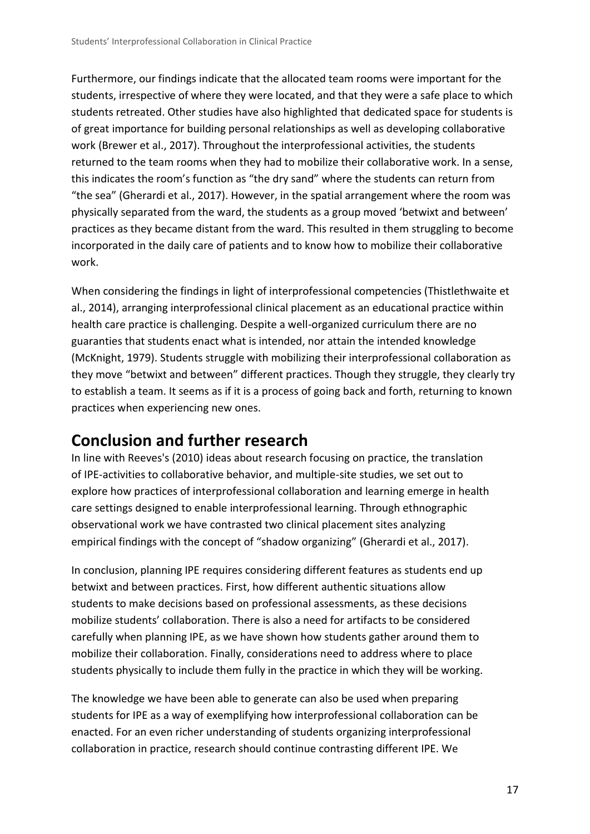Furthermore, our findings indicate that the allocated team rooms were important for the students, irrespective of where they were located, and that they were a safe place to which students retreated. Other studies have also highlighted that dedicated space for students is of great importance for building personal relationships as well as developing collaborative work (Brewer et al., 2017). Throughout the interprofessional activities, the students returned to the team rooms when they had to mobilize their collaborative work. In a sense, this indicates the room's function as "the dry sand" where the students can return from "the sea" (Gherardi et al., 2017). However, in the spatial arrangement where the room was physically separated from the ward, the students as a group moved 'betwixt and between' practices as they became distant from the ward. This resulted in them struggling to become incorporated in the daily care of patients and to know how to mobilize their collaborative work.

When considering the findings in light of interprofessional competencies (Thistlethwaite et al., 2014), arranging interprofessional clinical placement as an educational practice within health care practice is challenging. Despite a well-organized curriculum there are no guaranties that students enact what is intended, nor attain the intended knowledge (McKnight, 1979). Students struggle with mobilizing their interprofessional collaboration as they move "betwixt and between" different practices. Though they struggle, they clearly try to establish a team. It seems as if it is a process of going back and forth, returning to known practices when experiencing new ones.

# **Conclusion and further research**

In line with Reeves's (2010) ideas about research focusing on practice, the translation of IPE-activities to collaborative behavior, and multiple-site studies, we set out to explore how practices of interprofessional collaboration and learning emerge in health care settings designed to enable interprofessional learning. Through ethnographic observational work we have contrasted two clinical placement sites analyzing empirical findings with the concept of "shadow organizing" (Gherardi et al., 2017).

In conclusion, planning IPE requires considering different features as students end up betwixt and between practices. First, how different authentic situations allow students to make decisions based on professional assessments, as these decisions mobilize students' collaboration. There is also a need for artifacts to be considered carefully when planning IPE, as we have shown how students gather around them to mobilize their collaboration. Finally, considerations need to address where to place students physically to include them fully in the practice in which they will be working.

The knowledge we have been able to generate can also be used when preparing students for IPE as a way of exemplifying how interprofessional collaboration can be enacted. For an even richer understanding of students organizing interprofessional collaboration in practice, research should continue contrasting different IPE. We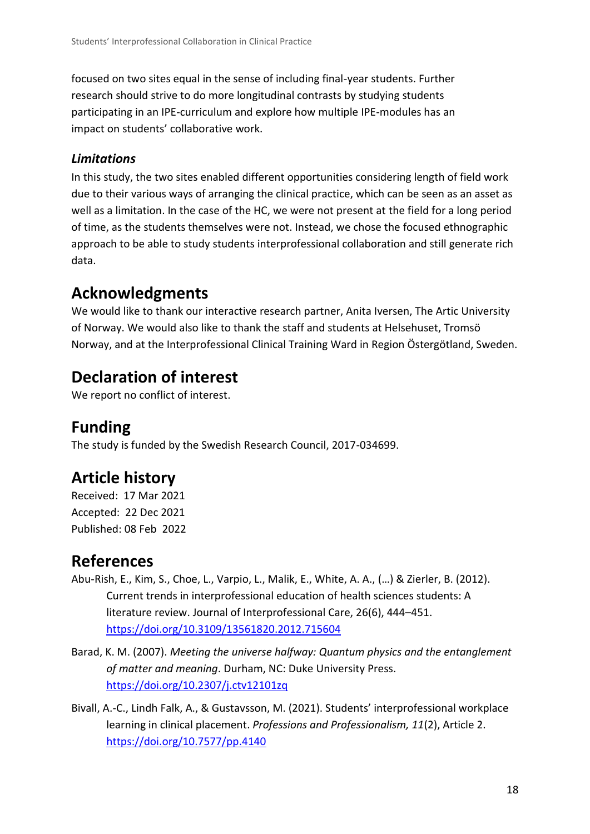focused on two sites equal in the sense of including final-year students. Further research should strive to do more longitudinal contrasts by studying students participating in an IPE-curriculum and explore how multiple IPE-modules has an impact on students' collaborative work.

### *Limitations*

In this study, the two sites enabled different opportunities considering length of field work due to their various ways of arranging the clinical practice, which can be seen as an asset as well as a limitation. In the case of the HC, we were not present at the field for a long period of time, as the students themselves were not. Instead, we chose the focused ethnographic approach to be able to study students interprofessional collaboration and still generate rich data.

# **Acknowledgments**

We would like to thank our interactive research partner, Anita Iversen, The Artic University of Norway. We would also like to thank the staff and students at Helsehuset, Tromsö Norway, and at the Interprofessional Clinical Training Ward in Region Östergötland, Sweden.

# **Declaration of interest**

We report no conflict of interest.

# **Funding**

The study is funded by the Swedish Research Council, 2017-034699.

# **Article history**

Received: 17 Mar 2021 Accepted: 22 Dec 2021 Published: 08 Feb 2022

# **References**

- Abu-Rish, E., Kim, S., Choe, L., Varpio, L., Malik, E., White, A. A., (…) & Zierler, B. (2012). Current trends in interprofessional education of health sciences students: A literature review. Journal of Interprofessional Care, 26(6), 444–451. <https://doi.org/10.3109/13561820.2012.715604>
- Barad, K. M. (2007). *Meeting the universe halfway: Quantum physics and the entanglement of matter and meaning*. Durham, NC: Duke University Press. <https://doi.org/10.2307/j.ctv12101zq>
- Bivall, A.-C., Lindh Falk, A., & Gustavsson, M. (2021). Students' interprofessional workplace learning in clinical placement. *Professions and Professionalism, 11*(2), Article 2. <https://doi.org/10.7577/pp.4140>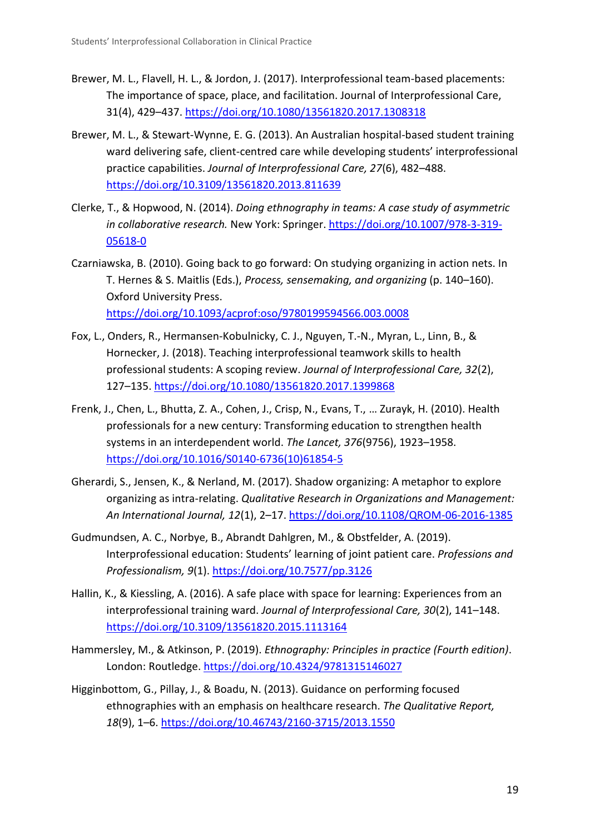- Brewer, M. L., Flavell, H. L., & Jordon, J. (2017). Interprofessional team-based placements: The importance of space, place, and facilitation. Journal of Interprofessional Care, 31(4), 429–437.<https://doi.org/10.1080/13561820.2017.1308318>
- Brewer, M. L., & Stewart-Wynne, E. G. (2013). An Australian hospital-based student training ward delivering safe, client-centred care while developing students' interprofessional practice capabilities. *Journal of Interprofessional Care, 27*(6), 482–488. <https://doi.org/10.3109/13561820.2013.811639>
- Clerke, T., & Hopwood, N. (2014). *Doing ethnography in teams: A case study of asymmetric in collaborative research.* New York: Springer. [https://doi.org/10.1007/978-3-319-](https://doi.org/10.1007/978-3-319-05618-0) [05618-0](https://doi.org/10.1007/978-3-319-05618-0)
- Czarniawska, B. (2010). Going back to go forward: On studying organizing in action nets. In T. Hernes & S. Maitlis (Eds.), *Process, sensemaking, and organizing* (p. 140–160). Oxford University Press. <https://doi.org/10.1093/acprof:oso/9780199594566.003.0008>
- Fox, L., Onders, R., Hermansen-Kobulnicky, C. J., Nguyen, T.-N., Myran, L., Linn, B., & Hornecker, J. (2018). Teaching interprofessional teamwork skills to health professional students: A scoping review. *Journal of Interprofessional Care, 32*(2), 127–135[. https://doi.org/10.1080/13561820.2017.1399868](https://doi.org/10.1080/13561820.2017.1399868)
- Frenk, J., Chen, L., Bhutta, Z. A., Cohen, J., Crisp, N., Evans, T., … Zurayk, H. (2010). Health professionals for a new century: Transforming education to strengthen health systems in an interdependent world. *The Lancet, 376*(9756), 1923–1958. [https://doi.org/10.1016/S0140-6736\(10\)61854-5](https://doi.org/10.1016/S0140-6736(10)61854-5)
- Gherardi, S., Jensen, K., & Nerland, M. (2017). Shadow organizing: A metaphor to explore organizing as intra-relating. *Qualitative Research in Organizations and Management: An International Journal, 12*(1), 2–17[. https://doi.org/10.1108/QROM-06-2016-1385](https://doi.org/10.1108/QROM-06-2016-1385)
- Gudmundsen, A. C., Norbye, B., Abrandt Dahlgren, M., & Obstfelder, A. (2019). Interprofessional education: Students' learning of joint patient care. *Professions and Professionalism, 9*(1).<https://doi.org/10.7577/pp.3126>
- Hallin, K., & Kiessling, A. (2016). A safe place with space for learning: Experiences from an interprofessional training ward. *Journal of Interprofessional Care, 30*(2), 141–148. <https://doi.org/10.3109/13561820.2015.1113164>
- Hammersley, M., & Atkinson, P. (2019). *Ethnography: Principles in practice (Fourth edition)*. London: Routledge. <https://doi.org/10.4324/9781315146027>
- Higginbottom, G., Pillay, J., & Boadu, N. (2013). Guidance on performing focused ethnographies with an emphasis on healthcare research. *The Qualitative Report, 18*(9), 1–6. <https://doi.org/10.46743/2160-3715/2013.1550>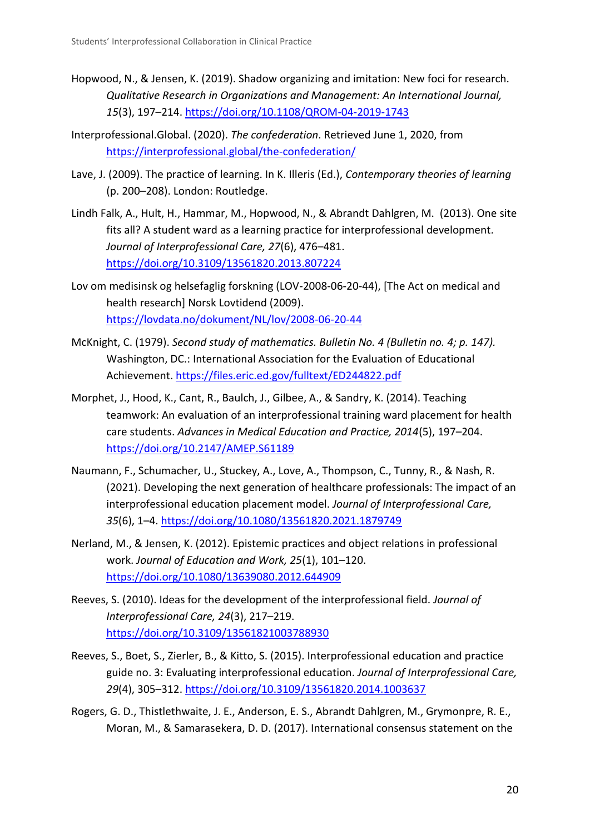- Hopwood, N., & Jensen, K. (2019). Shadow organizing and imitation: New foci for research. *Qualitative Research in Organizations and Management: An International Journal, 15*(3), 197–214.<https://doi.org/10.1108/QROM-04-2019-1743>
- Interprofessional.Global. (2020). *The confederation*. Retrieved June 1, 2020, from <https://interprofessional.global/the-confederation/>
- Lave, J. (2009). The practice of learning. In K. Illeris (Ed.), *Contemporary theories of learning* (p. 200–208). London: Routledge.
- Lindh Falk, A., Hult, H., Hammar, M., Hopwood, N., & Abrandt Dahlgren, M. (2013). One site fits all? A student ward as a learning practice for interprofessional development*. Journal of Interprofessional Care, 27*(6), 476–481. <https://doi.org/10.3109/13561820.2013.807224>
- Lov om medisinsk og helsefaglig forskning (LOV-2008-06-20-44), [The Act on medical and health research] Norsk Lovtidend (2009). <https://lovdata.no/dokument/NL/lov/2008-06-20-44>
- McKnight, C. (1979). *Second study of mathematics. Bulletin No. 4 (Bulletin no. 4; p. 147).* Washington, DC.: International Association for the Evaluation of Educational Achievement.<https://files.eric.ed.gov/fulltext/ED244822.pdf>
- Morphet, J., Hood, K., Cant, R., Baulch, J., Gilbee, A., & Sandry, K. (2014). Teaching teamwork: An evaluation of an interprofessional training ward placement for health care students. *Advances in Medical Education and Practice, 2014*(5), 197–204. <https://doi.org/10.2147/AMEP.S61189>
- Naumann, F., Schumacher, U., Stuckey, A., Love, A., Thompson, C., Tunny, R., & Nash, R. (2021). Developing the next generation of healthcare professionals: The impact of an interprofessional education placement model. *Journal of Interprofessional Care, 35*(6), 1–4.<https://doi.org/10.1080/13561820.2021.1879749>
- Nerland, M., & Jensen, K. (2012). Epistemic practices and object relations in professional work. *Journal of Education and Work, 25*(1), 101–120. <https://doi.org/10.1080/13639080.2012.644909>
- Reeves, S. (2010). Ideas for the development of the interprofessional field. *Journal of Interprofessional Care, 24*(3), 217–219. <https://doi.org/10.3109/13561821003788930>
- Reeves, S., Boet, S., Zierler, B., & Kitto, S. (2015). Interprofessional education and practice guide no. 3: Evaluating interprofessional education. *Journal of Interprofessional Care, 29*(4), 305–312.<https://doi.org/10.3109/13561820.2014.1003637>
- Rogers, G. D., Thistlethwaite, J. E., Anderson, E. S., Abrandt Dahlgren, M., Grymonpre, R. E., Moran, M., & Samarasekera, D. D. (2017). International consensus statement on the